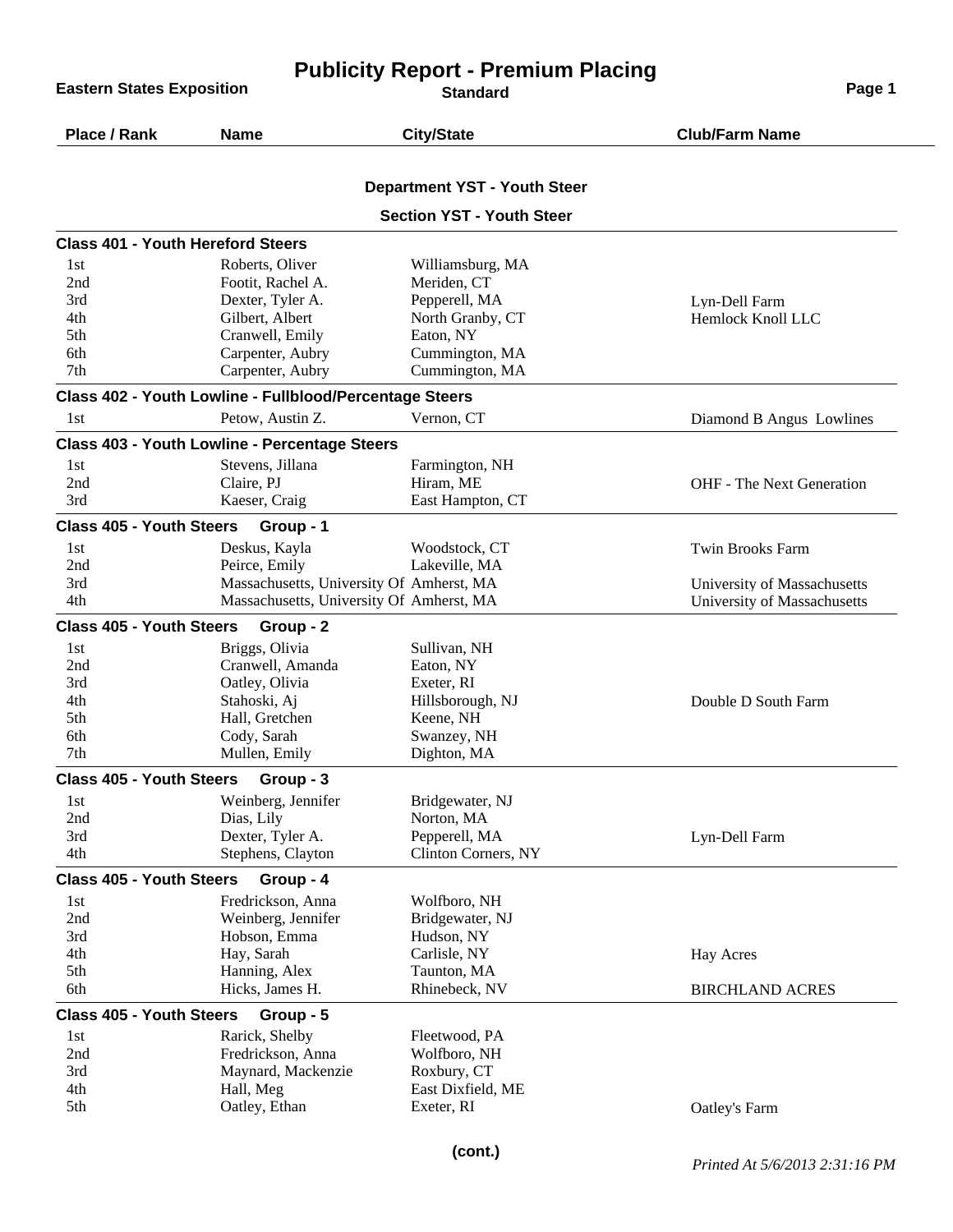| <b>Publicity Report - Premium Placing</b><br><b>Eastern States Exposition</b><br>Page 1<br><b>Standard</b> |                                                         |                                     |                                  |  |
|------------------------------------------------------------------------------------------------------------|---------------------------------------------------------|-------------------------------------|----------------------------------|--|
| Place / Rank                                                                                               | <b>Name</b>                                             | <b>City/State</b>                   | <b>Club/Farm Name</b>            |  |
|                                                                                                            |                                                         | <b>Department YST - Youth Steer</b> |                                  |  |
|                                                                                                            |                                                         | <b>Section YST - Youth Steer</b>    |                                  |  |
| <b>Class 401 - Youth Hereford Steers</b>                                                                   |                                                         |                                     |                                  |  |
| 1st                                                                                                        | Roberts, Oliver                                         | Williamsburg, MA                    |                                  |  |
| 2nd                                                                                                        | Footit, Rachel A.                                       | Meriden, CT                         |                                  |  |
| 3rd                                                                                                        | Dexter, Tyler A.                                        | Pepperell, MA                       | Lyn-Dell Farm                    |  |
| 4th                                                                                                        | Gilbert, Albert                                         | North Granby, CT                    | Hemlock Knoll LLC                |  |
| 5th                                                                                                        | Cranwell, Emily                                         | Eaton, NY                           |                                  |  |
| 6th                                                                                                        | Carpenter, Aubry                                        | Cummington, MA                      |                                  |  |
| 7th                                                                                                        | Carpenter, Aubry                                        | Cummington, MA                      |                                  |  |
|                                                                                                            | Class 402 - Youth Lowline - Fullblood/Percentage Steers |                                     |                                  |  |
| 1st                                                                                                        | Petow, Austin Z.                                        | Vernon, CT                          | Diamond B Angus Lowlines         |  |
|                                                                                                            | <b>Class 403 - Youth Lowline - Percentage Steers</b>    |                                     |                                  |  |
| 1st                                                                                                        | Stevens, Jillana                                        | Farmington, NH                      |                                  |  |
| 2nd                                                                                                        | Claire, PJ                                              | Hiram, ME                           | <b>OHF</b> - The Next Generation |  |
| 3rd                                                                                                        | Kaeser, Craig                                           | East Hampton, CT                    |                                  |  |
| <b>Class 405 - Youth Steers</b>                                                                            | Group - 1                                               |                                     |                                  |  |
| 1st                                                                                                        | Deskus, Kayla                                           | Woodstock, CT                       | Twin Brooks Farm                 |  |
| 2nd                                                                                                        | Peirce, Emily                                           | Lakeville, MA                       |                                  |  |
| 3rd                                                                                                        | Massachusetts, University Of Amherst, MA                |                                     | University of Massachusetts      |  |
| 4th                                                                                                        | Massachusetts, University Of Amherst, MA                |                                     | University of Massachusetts      |  |
| <b>Class 405 - Youth Steers</b>                                                                            | Group - 2                                               |                                     |                                  |  |
| 1st                                                                                                        | Briggs, Olivia                                          | Sullivan, NH                        |                                  |  |
| 2nd                                                                                                        | Cranwell, Amanda                                        | Eaton, NY                           |                                  |  |
| 3rd                                                                                                        | Oatley, Olivia                                          | Exeter, RI                          |                                  |  |
| 4th                                                                                                        | Stahoski, Aj                                            | Hillsborough, NJ                    | Double D South Farm              |  |
| 5th                                                                                                        | Hall, Gretchen                                          | Keene, NH                           |                                  |  |
| 6th                                                                                                        | Cody, Sarah                                             | Swanzey, NH                         |                                  |  |
| 7th                                                                                                        | Mullen, Emily                                           | Dighton, MA                         |                                  |  |
| <b>Class 405 - Youth Steers</b>                                                                            | Group - 3                                               |                                     |                                  |  |
| 1st                                                                                                        | Weinberg, Jennifer                                      | Bridgewater, NJ                     |                                  |  |
| 2nd                                                                                                        | Dias, Lily                                              | Norton, MA                          |                                  |  |
| 3rd                                                                                                        | Dexter, Tyler A.                                        | Pepperell, MA                       | Lyn-Dell Farm                    |  |
| 4th                                                                                                        | Stephens, Clayton                                       | Clinton Corners, NY                 |                                  |  |
| <b>Class 405 - Youth Steers</b>                                                                            | Group - 4                                               |                                     |                                  |  |
| 1st                                                                                                        | Fredrickson, Anna                                       | Wolfboro, NH                        |                                  |  |
| 2nd                                                                                                        | Weinberg, Jennifer                                      | Bridgewater, NJ                     |                                  |  |
| 3rd                                                                                                        | Hobson, Emma                                            | Hudson, NY                          |                                  |  |
| 4th                                                                                                        | Hay, Sarah                                              | Carlisle, NY                        | <b>Hay Acres</b>                 |  |
| 5th<br>6th                                                                                                 | Hanning, Alex<br>Hicks, James H.                        | Taunton, MA<br>Rhinebeck, NV        | <b>BIRCHLAND ACRES</b>           |  |
| <b>Class 405 - Youth Steers</b>                                                                            | Group - 5                                               |                                     |                                  |  |
| 1st                                                                                                        | Rarick, Shelby                                          | Fleetwood, PA                       |                                  |  |
| 2nd                                                                                                        | Fredrickson, Anna                                       | Wolfboro, NH                        |                                  |  |
| 3rd                                                                                                        | Maynard, Mackenzie                                      | Roxbury, CT                         |                                  |  |
| 4th                                                                                                        | Hall, Meg                                               | East Dixfield, ME                   |                                  |  |
| 5th                                                                                                        | Oatley, Ethan                                           | Exeter, RI                          | Oatley's Farm                    |  |
|                                                                                                            |                                                         |                                     |                                  |  |